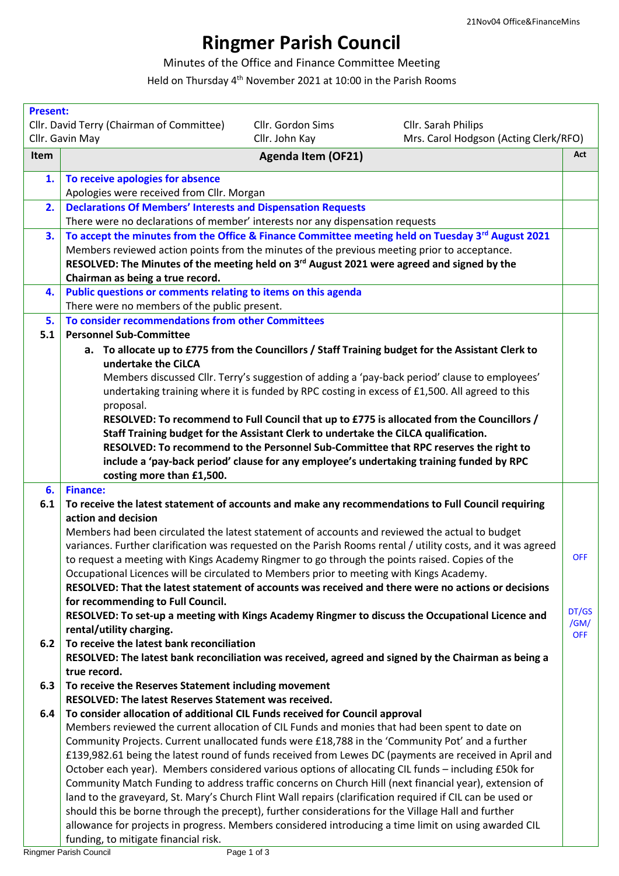## **Ringmer Parish Council**

## Minutes of the Office and Finance Committee Meeting

Held on Thursday 4th November 2021 at 10:00 in the Parish Rooms

| <b>Present:</b> |                                                                                                                                                                     |               |
|-----------------|---------------------------------------------------------------------------------------------------------------------------------------------------------------------|---------------|
|                 | Cllr. David Terry (Chairman of Committee)<br>Cllr. Gordon Sims<br>Cllr. Sarah Philips<br>Mrs. Carol Hodgson (Acting Clerk/RFO)<br>Cllr. Gavin May<br>Cllr. John Kay |               |
|                 |                                                                                                                                                                     | Act           |
| <b>Item</b>     | <b>Agenda Item (OF21)</b>                                                                                                                                           |               |
| 1.              | To receive apologies for absence                                                                                                                                    |               |
|                 | Apologies were received from Cllr. Morgan                                                                                                                           |               |
| 2.              | <b>Declarations Of Members' Interests and Dispensation Requests</b>                                                                                                 |               |
|                 | There were no declarations of member' interests nor any dispensation requests                                                                                       |               |
| 3.              | To accept the minutes from the Office & Finance Committee meeting held on Tuesday 3rd August 2021                                                                   |               |
|                 | Members reviewed action points from the minutes of the previous meeting prior to acceptance.                                                                        |               |
|                 | RESOLVED: The Minutes of the meeting held on 3 <sup>rd</sup> August 2021 were agreed and signed by the                                                              |               |
|                 | Chairman as being a true record.                                                                                                                                    |               |
| 4.              | Public questions or comments relating to items on this agenda<br>There were no members of the public present.                                                       |               |
| 5.              | To consider recommendations from other Committees                                                                                                                   |               |
| 5.1             | <b>Personnel Sub-Committee</b>                                                                                                                                      |               |
|                 | a. To allocate up to £775 from the Councillors / Staff Training budget for the Assistant Clerk to                                                                   |               |
|                 | undertake the CiLCA                                                                                                                                                 |               |
|                 | Members discussed Cllr. Terry's suggestion of adding a 'pay-back period' clause to employees'                                                                       |               |
|                 | undertaking training where it is funded by RPC costing in excess of £1,500. All agreed to this                                                                      |               |
|                 | proposal.                                                                                                                                                           |               |
|                 | RESOLVED: To recommend to Full Council that up to £775 is allocated from the Councillors /                                                                          |               |
|                 | Staff Training budget for the Assistant Clerk to undertake the CiLCA qualification.                                                                                 |               |
|                 | RESOLVED: To recommend to the Personnel Sub-Committee that RPC reserves the right to                                                                                |               |
|                 | include a 'pay-back period' clause for any employee's undertaking training funded by RPC                                                                            |               |
|                 | costing more than £1,500.                                                                                                                                           |               |
| 6.              | <b>Finance:</b>                                                                                                                                                     |               |
| 6.1             | To receive the latest statement of accounts and make any recommendations to Full Council requiring<br>action and decision                                           |               |
|                 | Members had been circulated the latest statement of accounts and reviewed the actual to budget                                                                      |               |
|                 | variances. Further clarification was requested on the Parish Rooms rental / utility costs, and it was agreed                                                        |               |
|                 | to request a meeting with Kings Academy Ringmer to go through the points raised. Copies of the                                                                      | <b>OFF</b>    |
|                 | Occupational Licences will be circulated to Members prior to meeting with Kings Academy.                                                                            |               |
|                 | RESOLVED: That the latest statement of accounts was received and there were no actions or decisions                                                                 |               |
|                 | for recommending to Full Council.                                                                                                                                   |               |
|                 | RESOLVED: To set-up a meeting with Kings Academy Ringmer to discuss the Occupational Licence and                                                                    | DT/GS<br>/GM/ |
|                 | rental/utility charging.                                                                                                                                            | <b>OFF</b>    |
| 6.2             | To receive the latest bank reconciliation                                                                                                                           |               |
|                 | RESOLVED: The latest bank reconciliation was received, agreed and signed by the Chairman as being a                                                                 |               |
|                 | true record.                                                                                                                                                        |               |
| 6.3             | To receive the Reserves Statement including movement<br>RESOLVED: The latest Reserves Statement was received.                                                       |               |
| 6.4             | To consider allocation of additional CIL Funds received for Council approval                                                                                        |               |
|                 | Members reviewed the current allocation of CIL Funds and monies that had been spent to date on                                                                      |               |
|                 | Community Projects. Current unallocated funds were £18,788 in the 'Community Pot' and a further                                                                     |               |
|                 | £139,982.61 being the latest round of funds received from Lewes DC (payments are received in April and                                                              |               |
|                 | October each year). Members considered various options of allocating CIL funds - including £50k for                                                                 |               |
|                 | Community Match Funding to address traffic concerns on Church Hill (next financial year), extension of                                                              |               |
|                 | land to the graveyard, St. Mary's Church Flint Wall repairs (clarification required if CIL can be used or                                                           |               |
|                 | should this be borne through the precept), further considerations for the Village Hall and further                                                                  |               |
|                 | allowance for projects in progress. Members considered introducing a time limit on using awarded CIL                                                                |               |
|                 | funding, to mitigate financial risk.                                                                                                                                |               |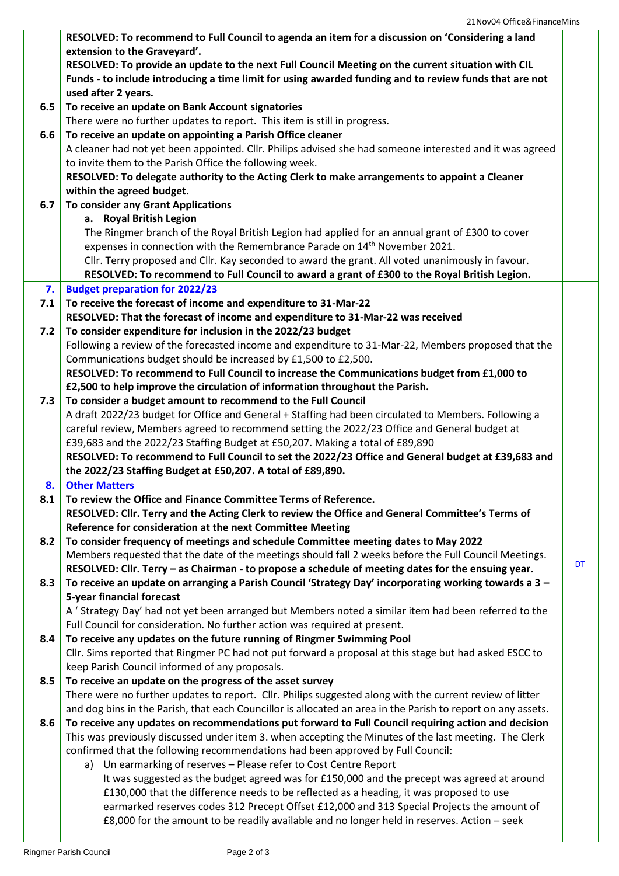|     | RESOLVED: To recommend to Full Council to agenda an item for a discussion on 'Considering a land             |    |
|-----|--------------------------------------------------------------------------------------------------------------|----|
|     | extension to the Graveyard'.                                                                                 |    |
|     | RESOLVED: To provide an update to the next Full Council Meeting on the current situation with CIL            |    |
|     | Funds - to include introducing a time limit for using awarded funding and to review funds that are not       |    |
|     | used after 2 years.                                                                                          |    |
| 6.5 | To receive an update on Bank Account signatories                                                             |    |
|     | There were no further updates to report. This item is still in progress.                                     |    |
| 6.6 | To receive an update on appointing a Parish Office cleaner                                                   |    |
|     | A cleaner had not yet been appointed. Cllr. Philips advised she had someone interested and it was agreed     |    |
|     | to invite them to the Parish Office the following week.                                                      |    |
|     | RESOLVED: To delegate authority to the Acting Clerk to make arrangements to appoint a Cleaner                |    |
|     | within the agreed budget.                                                                                    |    |
| 6.7 | <b>To consider any Grant Applications</b>                                                                    |    |
|     | a. Royal British Legion                                                                                      |    |
|     | The Ringmer branch of the Royal British Legion had applied for an annual grant of £300 to cover              |    |
|     | expenses in connection with the Remembrance Parade on 14 <sup>th</sup> November 2021.                        |    |
|     | Cllr. Terry proposed and Cllr. Kay seconded to award the grant. All voted unanimously in favour.             |    |
|     | RESOLVED: To recommend to Full Council to award a grant of £300 to the Royal British Legion.                 |    |
| 7.  | <b>Budget preparation for 2022/23</b>                                                                        |    |
| 7.1 | To receive the forecast of income and expenditure to 31-Mar-22                                               |    |
|     | RESOLVED: That the forecast of income and expenditure to 31-Mar-22 was received                              |    |
| 7.2 | To consider expenditure for inclusion in the 2022/23 budget                                                  |    |
|     | Following a review of the forecasted income and expenditure to 31-Mar-22, Members proposed that the          |    |
|     | Communications budget should be increased by £1,500 to £2,500.                                               |    |
|     | RESOLVED: To recommend to Full Council to increase the Communications budget from £1,000 to                  |    |
|     | £2,500 to help improve the circulation of information throughout the Parish.                                 |    |
| 7.3 | To consider a budget amount to recommend to the Full Council                                                 |    |
|     | A draft 2022/23 budget for Office and General + Staffing had been circulated to Members. Following a         |    |
|     | careful review, Members agreed to recommend setting the 2022/23 Office and General budget at                 |    |
|     | £39,683 and the 2022/23 Staffing Budget at £50,207. Making a total of £89,890                                |    |
|     | RESOLVED: To recommend to Full Council to set the 2022/23 Office and General budget at £39,683 and           |    |
|     | the 2022/23 Staffing Budget at £50,207. A total of £89,890.                                                  |    |
| 8.  | <b>Other Matters</b>                                                                                         |    |
| 8.1 | To review the Office and Finance Committee Terms of Reference.                                               |    |
|     | RESOLVED: Cllr. Terry and the Acting Clerk to review the Office and General Committee's Terms of             |    |
|     | Reference for consideration at the next Committee Meeting                                                    |    |
| 8.2 | To consider frequency of meetings and schedule Committee meeting dates to May 2022                           |    |
|     | Members requested that the date of the meetings should fall 2 weeks before the Full Council Meetings.        |    |
|     | RESOLVED: Cllr. Terry - as Chairman - to propose a schedule of meeting dates for the ensuing year.           | DT |
| 8.3 | To receive an update on arranging a Parish Council 'Strategy Day' incorporating working towards a 3 -        |    |
|     | 5-year financial forecast                                                                                    |    |
|     | A 'Strategy Day' had not yet been arranged but Members noted a similar item had been referred to the         |    |
|     | Full Council for consideration. No further action was required at present.                                   |    |
| 8.4 | To receive any updates on the future running of Ringmer Swimming Pool                                        |    |
|     | Cllr. Sims reported that Ringmer PC had not put forward a proposal at this stage but had asked ESCC to       |    |
|     | keep Parish Council informed of any proposals.                                                               |    |
| 8.5 | To receive an update on the progress of the asset survey                                                     |    |
|     | There were no further updates to report. Cllr. Philips suggested along with the current review of litter     |    |
|     | and dog bins in the Parish, that each Councillor is allocated an area in the Parish to report on any assets. |    |
| 8.6 | To receive any updates on recommendations put forward to Full Council requiring action and decision          |    |
|     | This was previously discussed under item 3. when accepting the Minutes of the last meeting. The Clerk        |    |
|     | confirmed that the following recommendations had been approved by Full Council:                              |    |
|     | a) Un earmarking of reserves - Please refer to Cost Centre Report                                            |    |
|     | It was suggested as the budget agreed was for £150,000 and the precept was agreed at around                  |    |
|     | £130,000 that the difference needs to be reflected as a heading, it was proposed to use                      |    |
|     | earmarked reserves codes 312 Precept Offset £12,000 and 313 Special Projects the amount of                   |    |
|     | £8,000 for the amount to be readily available and no longer held in reserves. Action - seek                  |    |